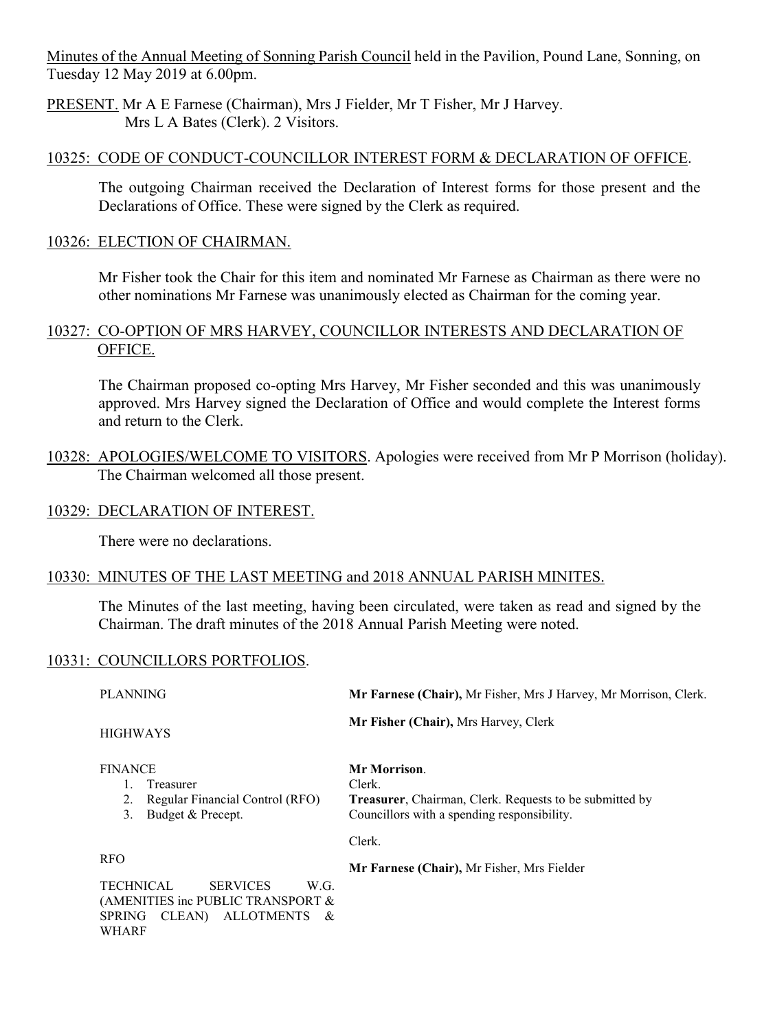Minutes of the Annual Meeting of Sonning Parish Council held in the Pavilion, Pound Lane, Sonning, on Tuesday 12 May 2019 at 6.00pm.

PRESENT. Mr A E Farnese (Chairman), Mrs J Fielder, Mr T Fisher, Mr J Harvey. Mrs L A Bates (Clerk). 2 Visitors.

### 10325: CODE OF CONDUCT-COUNCILLOR INTEREST FORM & DECLARATION OF OFFICE.

The outgoing Chairman received the Declaration of Interest forms for those present and the Declarations of Office. These were signed by the Clerk as required.

#### 10326: ELECTION OF CHAIRMAN.

Mr Fisher took the Chair for this item and nominated Mr Farnese as Chairman as there were no other nominations Mr Farnese was unanimously elected as Chairman for the coming year.

## 10327: CO-OPTION OF MRS HARVEY, COUNCILLOR INTERESTS AND DECLARATION OF OFFICE.

The Chairman proposed co-opting Mrs Harvey, Mr Fisher seconded and this was unanimously approved. Mrs Harvey signed the Declaration of Office and would complete the Interest forms and return to the Clerk.

10328: APOLOGIES/WELCOME TO VISITORS. Apologies were received from Mr P Morrison (holiday). The Chairman welcomed all those present.

#### 10329: DECLARATION OF INTEREST.

There were no declarations.

### 10330: MINUTES OF THE LAST MEETING and 2018 ANNUAL PARISH MINITES.

The Minutes of the last meeting, having been circulated, were taken as read and signed by the Chairman. The draft minutes of the 2018 Annual Parish Meeting were noted.

#### 10331: COUNCILLORS PORTFOLIOS.

PLANNING HIGHWAYS FINANCE 1. Treasurer 2. Regular Financial Control (RFO) 3. Budget & Precept. RFO TECHNICAL SERVICES W.G. (AMENITIES inc PUBLIC TRANSPORT & SPRING CLEAN) ALLOTMENTS & WHARF **Mr Farnese (Chair),** Mr Fisher, Mrs J Harvey, Mr Morrison, Clerk. **Mr Fisher (Chair),** Mrs Harvey, Clerk **Mr Morrison**. Clerk. **Treasurer**, Chairman, Clerk. Requests to be submitted by Councillors with a spending responsibility. Clerk. **Mr Farnese (Chair),** Mr Fisher, Mrs Fielder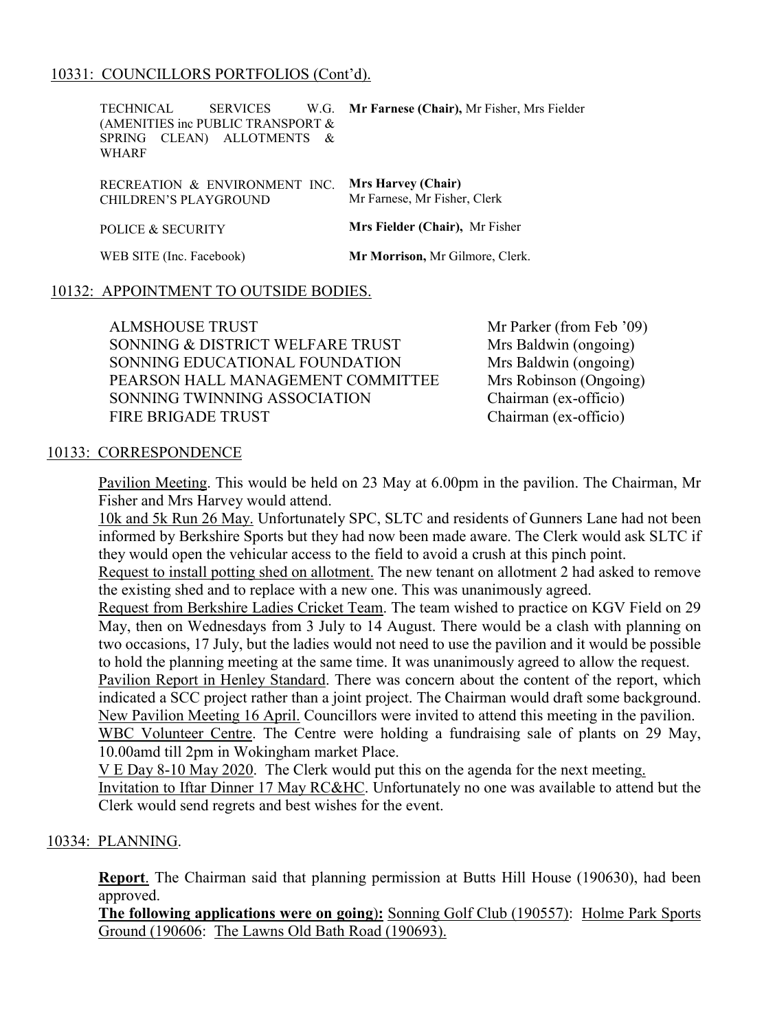## 10331: COUNCILLORS PORTFOLIOS (Cont'd).

TECHNICAL SERVICES W.G. (AMENITIES inc PUBLIC TRANSPORT & SPRING CLEAN) ALLOTMENTS & WHARF RECREATION & ENVIRONMENT INC. **Mrs Harvey (Chair)** CHILDREN'S PLAYGROUND POLICE & SECURITY WEB SITE (Inc. Facebook) **Mr Farnese (Chair),** Mr Fisher, Mrs Fielder Mr Farnese, Mr Fisher, Clerk **Mrs Fielder (Chair),** Mr Fisher **Mr Morrison,** Mr Gilmore, Clerk.

#### 10132: APPOINTMENT TO OUTSIDE BODIES.

ALMSHOUSE TRUST SONNING & DISTRICT WELFARE TRUST SONNING EDUCATIONAL FOUNDATION PEARSON HALL MANAGEMENT COMMITTEE SONNING TWINNING ASSOCIATION FIRE BRIGADE TRUST

Mr Parker (from Feb '09) Mrs Baldwin (ongoing) Mrs Baldwin (ongoing) Mrs Robinson (Ongoing) Chairman (ex-officio) Chairman (ex-officio)

#### 10133: CORRESPONDENCE

Pavilion Meeting. This would be held on 23 May at 6.00pm in the pavilion. The Chairman, Mr Fisher and Mrs Harvey would attend.

10k and 5k Run 26 May. Unfortunately SPC, SLTC and residents of Gunners Lane had not been informed by Berkshire Sports but they had now been made aware. The Clerk would ask SLTC if they would open the vehicular access to the field to avoid a crush at this pinch point.

Request to install potting shed on allotment. The new tenant on allotment 2 had asked to remove the existing shed and to replace with a new one. This was unanimously agreed.

Request from Berkshire Ladies Cricket Team. The team wished to practice on KGV Field on 29 May, then on Wednesdays from 3 July to 14 August. There would be a clash with planning on two occasions, 17 July, but the ladies would not need to use the pavilion and it would be possible to hold the planning meeting at the same time. It was unanimously agreed to allow the request.

Pavilion Report in Henley Standard. There was concern about the content of the report, which indicated a SCC project rather than a joint project. The Chairman would draft some background. New Pavilion Meeting 16 April. Councillors were invited to attend this meeting in the pavilion. WBC Volunteer Centre. The Centre were holding a fundraising sale of plants on 29 May,

10.00amd till 2pm in Wokingham market Place. V E Day 8-10 May 2020. The Clerk would put this on the agenda for the next meeting.

Invitation to Iftar Dinner 17 May RC&HC. Unfortunately no one was available to attend but the Clerk would send regrets and best wishes for the event.

### 10334: PLANNING.

**Report**. The Chairman said that planning permission at Butts Hill House (190630), had been approved.

**The following applications were on going**)**:** Sonning Golf Club (190557): Holme Park Sports Ground (190606: The Lawns Old Bath Road (190693).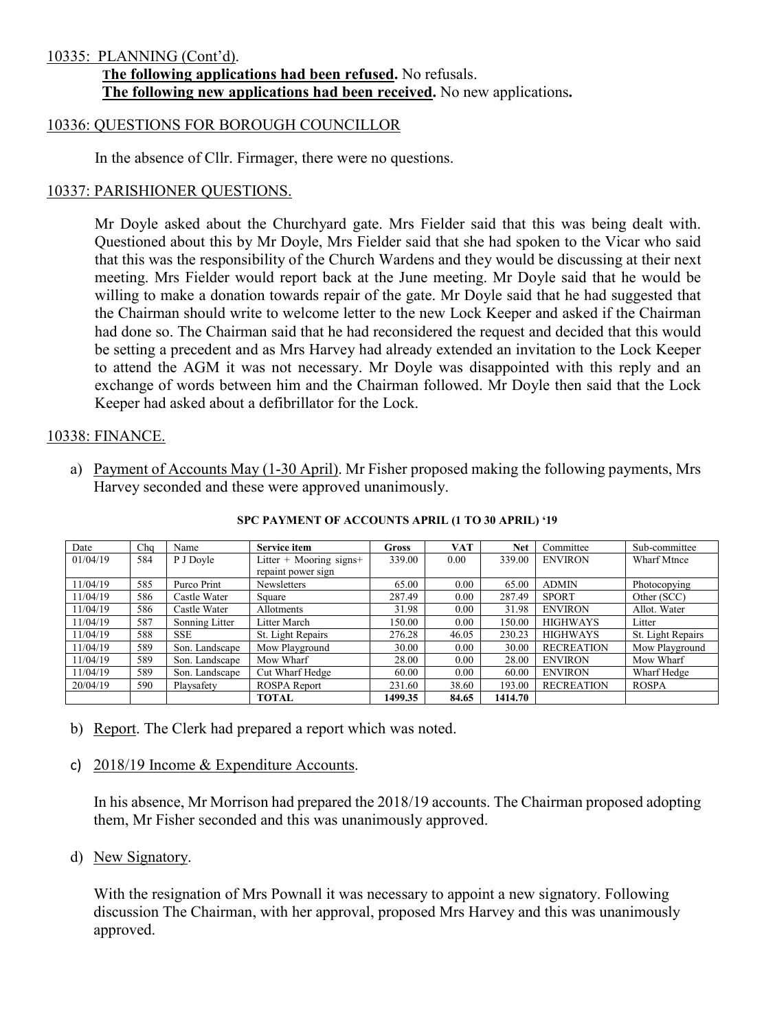#### 10335: PLANNING (Cont'd).

 **The following applications had been refused.** No refusals. **The following new applications had been received.** No new applications**.**

#### 10336: QUESTIONS FOR BOROUGH COUNCILLOR

In the absence of Cllr. Firmager, there were no questions.

#### 10337: PARISHIONER QUESTIONS.

Mr Doyle asked about the Churchyard gate. Mrs Fielder said that this was being dealt with. Questioned about this by Mr Doyle, Mrs Fielder said that she had spoken to the Vicar who said that this was the responsibility of the Church Wardens and they would be discussing at their next meeting. Mrs Fielder would report back at the June meeting. Mr Doyle said that he would be willing to make a donation towards repair of the gate. Mr Doyle said that he had suggested that the Chairman should write to welcome letter to the new Lock Keeper and asked if the Chairman had done so. The Chairman said that he had reconsidered the request and decided that this would be setting a precedent and as Mrs Harvey had already extended an invitation to the Lock Keeper to attend the AGM it was not necessary. Mr Doyle was disappointed with this reply and an exchange of words between him and the Chairman followed. Mr Doyle then said that the Lock Keeper had asked about a defibrillator for the Lock.

# 10338: FINANCE.

a) Payment of Accounts May (1-30 April). Mr Fisher proposed making the following payments, Mrs Harvey seconded and these were approved unanimously.

| Date     | Cha | Name           | <b>Service item</b>     | Gross   | VAT   | <b>Net</b> | Committee         | Sub-committee      |
|----------|-----|----------------|-------------------------|---------|-------|------------|-------------------|--------------------|
| 01/04/19 | 584 | P J Doyle      | Litter + Mooring signs+ | 339.00  | 0.00  | 339.00     | <b>ENVIRON</b>    | <b>Wharf Mtnce</b> |
|          |     |                | repaint power sign      |         |       |            |                   |                    |
| 11/04/19 | 585 | Purco Print    | <b>Newsletters</b>      | 65.00   | 0.00  | 65.00      | <b>ADMIN</b>      | Photocopying       |
| 11/04/19 | 586 | Castle Water   | Square                  | 287.49  | 0.00  | 287.49     | <b>SPORT</b>      | Other (SCC)        |
| 11/04/19 | 586 | Castle Water   | Allotments              | 31.98   | 0.00  | 31.98      | <b>ENVIRON</b>    | Allot. Water       |
| 11/04/19 | 587 | Sonning Litter | Litter March            | 150.00  | 0.00  | 150.00     | <b>HIGHWAYS</b>   | Litter             |
| 11/04/19 | 588 | <b>SSE</b>     | St. Light Repairs       | 276.28  | 46.05 | 230.23     | <b>HIGHWAYS</b>   | St. Light Repairs  |
| 11/04/19 | 589 | Son. Landscape | Mow Playground          | 30.00   | 0.00  | 30.00      | <b>RECREATION</b> | Mow Playground     |
| 11/04/19 | 589 | Son. Landscape | Mow Wharf               | 28.00   | 0.00  | 28.00      | <b>ENVIRON</b>    | Mow Wharf          |
| 11/04/19 | 589 | Son. Landscape | Cut Wharf Hedge         | 60.00   | 0.00  | 60.00      | <b>ENVIRON</b>    | Wharf Hedge        |
| 20/04/19 | 590 | Playsafety     | ROSPA Report            | 231.60  | 38.60 | 193.00     | <b>RECREATION</b> | <b>ROSPA</b>       |
|          |     |                | <b>TOTAL</b>            | 1499.35 | 84.65 | 1414.70    |                   |                    |

**SPC PAYMENT OF ACCOUNTS APRIL (1 TO 30 APRIL) '19**

- b) Report. The Clerk had prepared a report which was noted.
- c) 2018/19 Income & Expenditure Accounts.

In his absence, Mr Morrison had prepared the 2018/19 accounts. The Chairman proposed adopting them, Mr Fisher seconded and this was unanimously approved.

d) New Signatory.

With the resignation of Mrs Pownall it was necessary to appoint a new signatory. Following discussion The Chairman, with her approval, proposed Mrs Harvey and this was unanimously approved.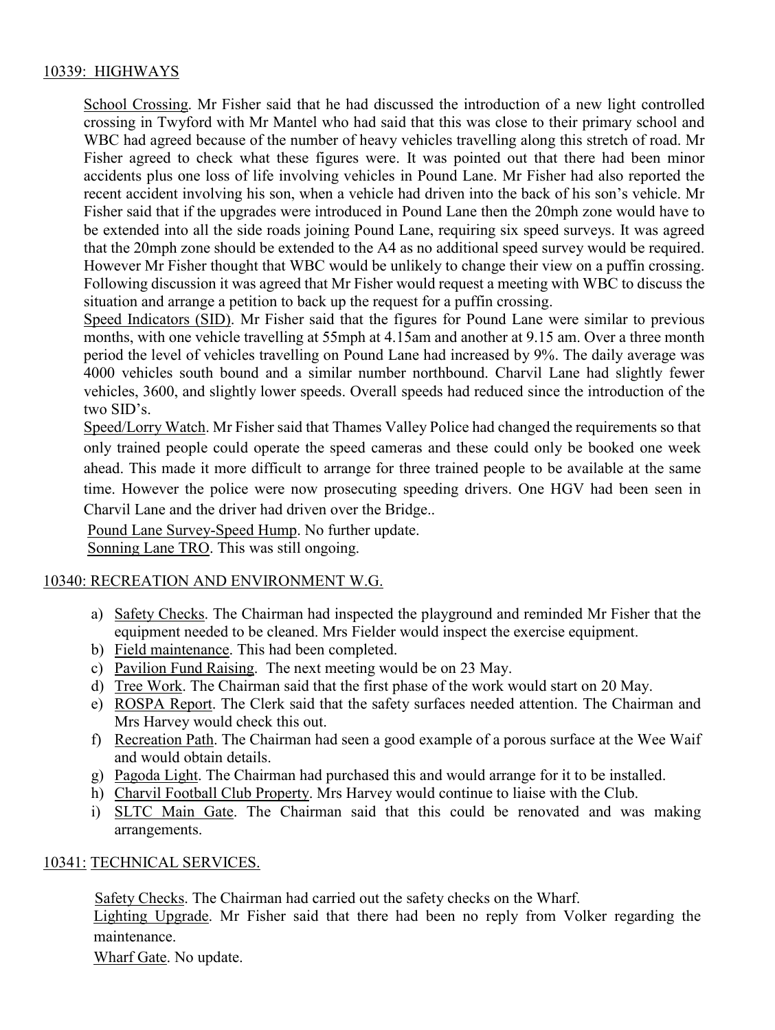# 10339: HIGHWAYS

School Crossing. Mr Fisher said that he had discussed the introduction of a new light controlled crossing in Twyford with Mr Mantel who had said that this was close to their primary school and WBC had agreed because of the number of heavy vehicles travelling along this stretch of road. Mr Fisher agreed to check what these figures were. It was pointed out that there had been minor accidents plus one loss of life involving vehicles in Pound Lane. Mr Fisher had also reported the recent accident involving his son, when a vehicle had driven into the back of his son's vehicle. Mr Fisher said that if the upgrades were introduced in Pound Lane then the 20mph zone would have to be extended into all the side roads joining Pound Lane, requiring six speed surveys. It was agreed that the 20mph zone should be extended to the A4 as no additional speed survey would be required. However Mr Fisher thought that WBC would be unlikely to change their view on a puffin crossing. Following discussion it was agreed that Mr Fisher would request a meeting with WBC to discuss the situation and arrange a petition to back up the request for a puffin crossing.

Speed Indicators (SID). Mr Fisher said that the figures for Pound Lane were similar to previous months, with one vehicle travelling at 55mph at 4.15am and another at 9.15 am. Over a three month period the level of vehicles travelling on Pound Lane had increased by 9%. The daily average was 4000 vehicles south bound and a similar number northbound. Charvil Lane had slightly fewer vehicles, 3600, and slightly lower speeds. Overall speeds had reduced since the introduction of the two SID's.

Speed/Lorry Watch. Mr Fisher said that Thames Valley Police had changed the requirements so that only trained people could operate the speed cameras and these could only be booked one week ahead. This made it more difficult to arrange for three trained people to be available at the same time. However the police were now prosecuting speeding drivers. One HGV had been seen in Charvil Lane and the driver had driven over the Bridge..

Pound Lane Survey-Speed Hump. No further update. Sonning Lane TRO. This was still ongoing.

### 10340: RECREATION AND ENVIRONMENT W.G.

- a) Safety Checks. The Chairman had inspected the playground and reminded Mr Fisher that the equipment needed to be cleaned. Mrs Fielder would inspect the exercise equipment.
- b) Field maintenance. This had been completed.
- c) Pavilion Fund Raising. The next meeting would be on 23 May.
- d) Tree Work. The Chairman said that the first phase of the work would start on 20 May.
- e) ROSPA Report. The Clerk said that the safety surfaces needed attention. The Chairman and Mrs Harvey would check this out.
- f) Recreation Path. The Chairman had seen a good example of a porous surface at the Wee Waif and would obtain details.
- g) Pagoda Light. The Chairman had purchased this and would arrange for it to be installed.
- h) Charvil Football Club Property. Mrs Harvey would continue to liaise with the Club.
- i) SLTC Main Gate. The Chairman said that this could be renovated and was making arrangements.

### 10341: TECHNICAL SERVICES.

Safety Checks. The Chairman had carried out the safety checks on the Wharf. Lighting Upgrade. Mr Fisher said that there had been no reply from Volker regarding the maintenance.

Wharf Gate. No update.